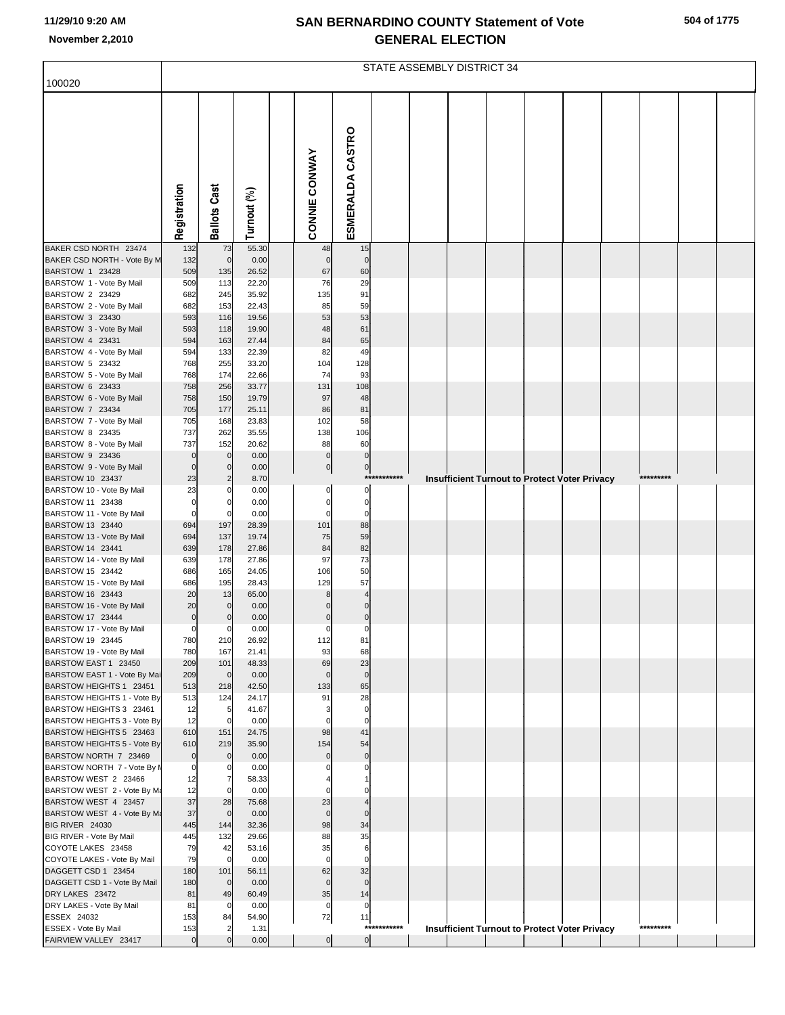## **SAN BERNARDINO COUNTY Statement of Vote November 2,2010 GENERAL ELECTION**

| 504 of 1775 |  |
|-------------|--|
|-------------|--|

|                                                                                                                           | STATE ASSEMBLY DISTRICT 34      |                                         |                                          |  |                                      |                                     |              |  |  |  |  |                                                      |  |           |  |
|---------------------------------------------------------------------------------------------------------------------------|---------------------------------|-----------------------------------------|------------------------------------------|--|--------------------------------------|-------------------------------------|--------------|--|--|--|--|------------------------------------------------------|--|-----------|--|
| 100020                                                                                                                    |                                 |                                         |                                          |  |                                      |                                     |              |  |  |  |  |                                                      |  |           |  |
|                                                                                                                           | Registration                    | <b>Ballots Cast</b>                     | Turnout (%)                              |  | <b>CONNIE CONWAY</b>                 | ESMERALDA CASTRO                    |              |  |  |  |  |                                                      |  |           |  |
| BAKER CSD NORTH 23474                                                                                                     | 132                             | 73                                      | 55.30                                    |  | 48                                   | 15                                  |              |  |  |  |  |                                                      |  |           |  |
| BAKER CSD NORTH - Vote By M<br>BARSTOW 1 23428<br>BARSTOW 1 - Vote By Mail<br>BARSTOW 2 23429<br>BARSTOW 2 - Vote By Mail | 132<br>509<br>509<br>682<br>682 | $\mathbf 0$<br>135<br>113<br>245<br>153 | 0.00<br>26.52<br>22.20<br>35.92<br>22.43 |  | $\mathbf 0$<br>67<br>76<br>135<br>85 | $\mathbf 0$<br>60<br>29<br>91<br>59 |              |  |  |  |  |                                                      |  |           |  |
| BARSTOW 3 23430<br>BARSTOW 3 - Vote By Mail                                                                               | 593<br>593                      | 116<br>118                              | 19.56<br>19.90                           |  | 53<br>48                             | 53<br>61                            |              |  |  |  |  |                                                      |  |           |  |
| BARSTOW 4 23431                                                                                                           | 594                             | 163                                     | 27.44<br>22.39                           |  | 84<br>82                             | 65<br>49                            |              |  |  |  |  |                                                      |  |           |  |
| BARSTOW 4 - Vote By Mail<br>BARSTOW 5 23432                                                                               | 594<br>768                      | 133<br>255                              | 33.20                                    |  | 104                                  | 128                                 |              |  |  |  |  |                                                      |  |           |  |
| BARSTOW 5 - Vote By Mail<br>BARSTOW 6 23433                                                                               | 768<br>758                      | 174<br>256                              | 22.66<br>33.77                           |  | 74<br>131                            | 93<br>108                           |              |  |  |  |  |                                                      |  |           |  |
| BARSTOW 6 - Vote By Mail                                                                                                  | 758                             | 150                                     | 19.79                                    |  | 97                                   | 48                                  |              |  |  |  |  |                                                      |  |           |  |
| BARSTOW 7 23434<br>BARSTOW 7 - Vote By Mail                                                                               | 705<br>705                      | 177<br>168                              | 25.11<br>23.83                           |  | 86<br>102                            | 81<br>58                            |              |  |  |  |  |                                                      |  |           |  |
| BARSTOW 8 23435                                                                                                           | 737                             | 262                                     | 35.55                                    |  | 138                                  | 106                                 |              |  |  |  |  |                                                      |  |           |  |
| BARSTOW 8 - Vote By Mail<br>BARSTOW 9 23436                                                                               | 737<br>$\mathbf 0$              | 152<br>$\mathbf 0$                      | 20.62<br>0.00                            |  | 88<br>$\pmb{0}$                      | 60<br>$\pmb{0}$                     |              |  |  |  |  |                                                      |  |           |  |
| BARSTOW 9 - Vote By Mail                                                                                                  | $\mathbf 0$                     | $\mathbf 0$                             | 0.00                                     |  | 0                                    | $\overline{0}$                      |              |  |  |  |  |                                                      |  |           |  |
| BARSTOW 10 23437                                                                                                          | 23<br>23                        | $\overline{c}$<br>$\Omega$              | 8.70<br>0.00                             |  | 0                                    | $\overline{0}$                      | ************ |  |  |  |  | Insufficient Turnout to Protect Voter Privacy        |  | ********* |  |
| BARSTOW 10 - Vote By Mail<br>BARSTOW 11 23438                                                                             | $\pmb{0}$                       | $\mathbf 0$                             | 0.00                                     |  | $\mathbf 0$                          | $\pmb{0}$                           |              |  |  |  |  |                                                      |  |           |  |
| BARSTOW 11 - Vote By Mail                                                                                                 | $\mathbf 0$                     | $\mathbf 0$                             | 0.00                                     |  | $\mathbf 0$                          | $\mathbf 0$<br>88                   |              |  |  |  |  |                                                      |  |           |  |
| BARSTOW 13 23440<br>BARSTOW 13 - Vote By Mail                                                                             | 694<br>694                      | 197<br>137                              | 28.39<br>19.74                           |  | 101<br>75                            | 59                                  |              |  |  |  |  |                                                      |  |           |  |
| BARSTOW 14 23441                                                                                                          | 639                             | 178                                     | 27.86                                    |  | 84                                   | 82                                  |              |  |  |  |  |                                                      |  |           |  |
| BARSTOW 14 - Vote By Mail<br>BARSTOW 15 23442                                                                             | 639<br>686                      | 178<br>165                              | 27.86<br>24.05                           |  | 97<br>106                            | 73<br>50                            |              |  |  |  |  |                                                      |  |           |  |
| BARSTOW 15 - Vote By Mail                                                                                                 | 686                             | 195                                     | 28.43                                    |  | 129                                  | 57                                  |              |  |  |  |  |                                                      |  |           |  |
| BARSTOW 16 23443<br>BARSTOW 16 - Vote By Mail                                                                             | 20<br>20                        | 13<br>$\mathbf 0$                       | 65.00<br>0.00                            |  | 8<br>$\overline{0}$                  | 4<br>$\mathbf 0$                    |              |  |  |  |  |                                                      |  |           |  |
| BARSTOW 17 23444                                                                                                          | $\mathbf 0$                     | $\mathbf 0$                             | 0.00                                     |  | $\mathbf 0$                          | $\mathbf 0$                         |              |  |  |  |  |                                                      |  |           |  |
| BARSTOW 17 - Vote By Mail<br>BARSTOW 19 23445                                                                             | $\mathbf 0$<br>780              | $\mathbf 0$<br>210                      | 0.00<br>26.92                            |  | $\mathbf 0$<br>112                   | $\Omega$<br>81                      |              |  |  |  |  |                                                      |  |           |  |
| BARSTOW 19 - Vote By Mail                                                                                                 | 780                             | 167                                     | 21.41                                    |  | 93                                   | 68                                  |              |  |  |  |  |                                                      |  |           |  |
| BARSTOW EAST 1 23450<br>BARSTOW EAST 1 - Vote By Mai                                                                      | 209<br>209                      | 101<br>$\overline{0}$                   | 48.33<br>0.00                            |  | 69<br>$\mathbf 0$                    | 23<br>$\mathbf 0$                   |              |  |  |  |  |                                                      |  |           |  |
| BARSTOW HEIGHTS 1 23451                                                                                                   | 513                             | 218                                     | 42.50                                    |  | 133                                  | 65                                  |              |  |  |  |  |                                                      |  |           |  |
| BARSTOW HEIGHTS 1 - Vote By<br>BARSTOW HEIGHTS 3 23461                                                                    | 513<br>12                       | 124<br>5                                | 24.17<br>41.67                           |  | 91                                   | 28<br>$\mathbf 0$                   |              |  |  |  |  |                                                      |  |           |  |
| BARSTOW HEIGHTS 3 - Vote By                                                                                               | 12                              | $\mathbf 0$                             | 0.00                                     |  |                                      | $\mathbf 0$                         |              |  |  |  |  |                                                      |  |           |  |
| BARSTOW HEIGHTS 5 23463<br>BARSTOW HEIGHTS 5 - Vote By                                                                    | 610<br>610                      | 151<br>219                              | 24.75<br>35.90                           |  | 98<br>154                            | 41<br>54                            |              |  |  |  |  |                                                      |  |           |  |
| BARSTOW NORTH 7 23469                                                                                                     | $\mathbf 0$                     | $\overline{0}$                          | 0.00                                     |  | $\Omega$                             | $\mathbf 0$                         |              |  |  |  |  |                                                      |  |           |  |
| BARSTOW NORTH 7 - Vote By N<br>BARSTOW WEST 2 23466                                                                       | 0<br>12                         | 0<br>$\overline{7}$                     | 0.00<br>58.33                            |  |                                      |                                     |              |  |  |  |  |                                                      |  |           |  |
| BARSTOW WEST 2 - Vote By Ma                                                                                               | 12                              | $\mathbf 0$                             | 0.00                                     |  |                                      |                                     |              |  |  |  |  |                                                      |  |           |  |
| BARSTOW WEST 4 23457<br>BARSTOW WEST 4 - Vote By Ma                                                                       | 37<br>37                        | 28<br>$\mathbf 0$                       | 75.68<br>0.00                            |  | 23<br>$\mathbf 0$                    | $\Omega$                            |              |  |  |  |  |                                                      |  |           |  |
| BIG RIVER 24030                                                                                                           | 445                             | 144                                     | 32.36                                    |  | 98                                   | 34                                  |              |  |  |  |  |                                                      |  |           |  |
| BIG RIVER - Vote By Mail<br>COYOTE LAKES 23458                                                                            | 445<br>79                       | 132<br>42                               | 29.66<br>53.16                           |  | 88<br>35                             | 35<br>6                             |              |  |  |  |  |                                                      |  |           |  |
| COYOTE LAKES - Vote By Mail                                                                                               | 79                              | $\overline{0}$                          | 0.00                                     |  | $\mathbf 0$                          | $\Omega$                            |              |  |  |  |  |                                                      |  |           |  |
| DAGGETT CSD 1 23454<br>DAGGETT CSD 1 - Vote By Mail                                                                       | 180<br>180                      | 101<br>$\overline{0}$                   | 56.11<br>0.00                            |  | 62<br>$\mathbf 0$                    | 32<br>$\mathbf 0$                   |              |  |  |  |  |                                                      |  |           |  |
| DRY LAKES 23472                                                                                                           | 81                              | 49                                      | 60.49                                    |  | 35                                   | 14                                  |              |  |  |  |  |                                                      |  |           |  |
| DRY LAKES - Vote By Mail<br>ESSEX 24032                                                                                   | 81<br>153                       | $\mathbf 0$<br>84                       | 0.00<br>54.90                            |  | $\mathbf 0$<br>72                    | $\mathbf 0$<br>11                   |              |  |  |  |  |                                                      |  |           |  |
| ESSEX - Vote By Mail                                                                                                      | 153                             | $\overline{2}$                          | 1.31                                     |  |                                      |                                     | ***********  |  |  |  |  | <b>Insufficient Turnout to Protect Voter Privacy</b> |  | ********* |  |
| FAIRVIEW VALLEY 23417                                                                                                     | $\mathbf 0$                     | $\mathbf 0$                             | 0.00                                     |  | 0                                    | $\overline{0}$                      |              |  |  |  |  |                                                      |  |           |  |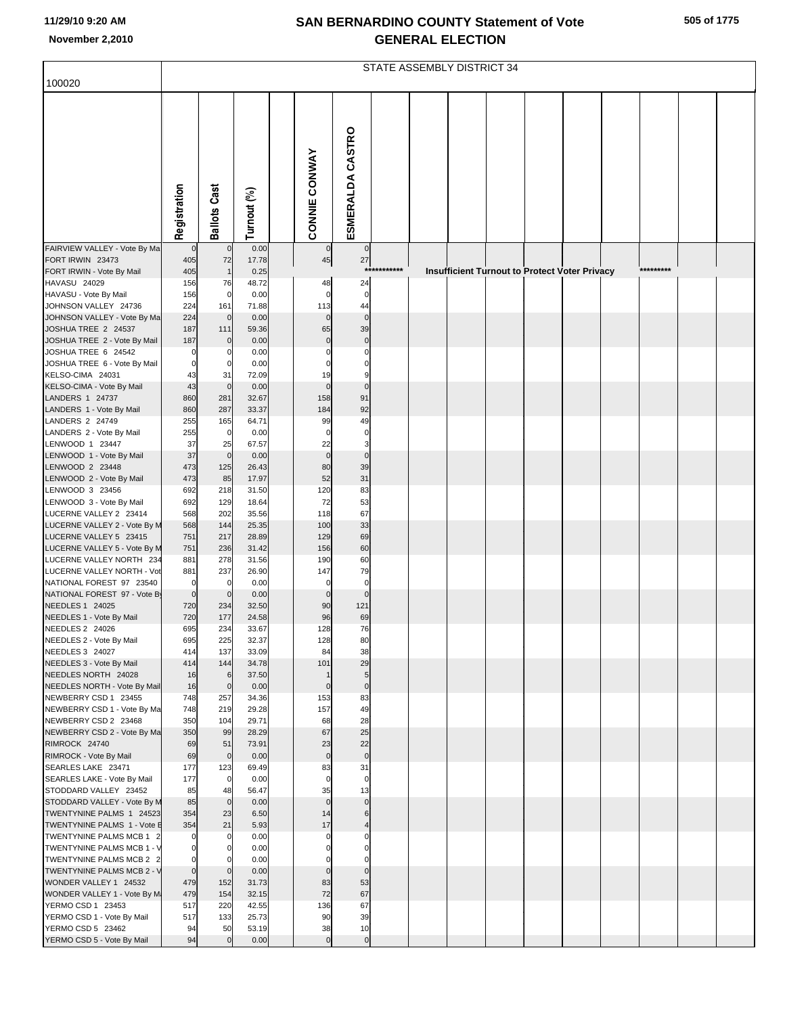## **SAN BERNARDINO COUNTY Statement of Vote November 2,2010 GENERAL ELECTION**

|                                                               | STATE ASSEMBLY DISTRICT 34 |                            |                |  |                         |                    |             |  |  |  |                                               |  |  |           |  |  |
|---------------------------------------------------------------|----------------------------|----------------------------|----------------|--|-------------------------|--------------------|-------------|--|--|--|-----------------------------------------------|--|--|-----------|--|--|
| 100020                                                        |                            |                            |                |  |                         |                    |             |  |  |  |                                               |  |  |           |  |  |
|                                                               |                            |                            |                |  |                         |                    |             |  |  |  |                                               |  |  |           |  |  |
|                                                               |                            |                            |                |  | <b>CONNIE CONWAY</b>    | ESMERALDA CASTRO   |             |  |  |  |                                               |  |  |           |  |  |
|                                                               | Registration               | <b>Ballots Cast</b>        | Turnout (%)    |  |                         |                    |             |  |  |  |                                               |  |  |           |  |  |
| FAIRVIEW VALLEY - Vote By Ma                                  | $\mathbf 0$                | $\mathbf 0$                | 0.00           |  | $\mathbf 0$             | $\mathbf{0}$       |             |  |  |  |                                               |  |  |           |  |  |
| FORT IRWIN 23473                                              | 405                        | 72                         | 17.78          |  | $\bf 45$                | 27                 |             |  |  |  |                                               |  |  |           |  |  |
| FORT IRWIN - Vote By Mail                                     | 405                        | $\mathbf{1}$               | 0.25           |  |                         |                    | *********** |  |  |  | Insufficient Turnout to Protect Voter Privacy |  |  | ********* |  |  |
| HAVASU 24029                                                  | 156                        | 76                         | 48.72          |  | 48<br>$\mathbf 0$       | 24<br>$\mathbf 0$  |             |  |  |  |                                               |  |  |           |  |  |
| HAVASU - Vote By Mail<br>JOHNSON VALLEY 24736                 | 156<br>224                 | $\overline{0}$<br>161      | 0.00<br>71.88  |  | 113                     | 44                 |             |  |  |  |                                               |  |  |           |  |  |
| JOHNSON VALLEY - Vote By Ma                                   | 224                        | $\mathbf 0$                | 0.00           |  | $\mathbf 0$             | $\mathbf 0$        |             |  |  |  |                                               |  |  |           |  |  |
| JOSHUA TREE 2 24537                                           | 187                        | 111                        | 59.36          |  | 65                      | 39                 |             |  |  |  |                                               |  |  |           |  |  |
| JOSHUA TREE 2 - Vote By Mail                                  | 187                        | $\overline{0}$             | 0.00           |  | $\mathbf 0$             | $\mathsf{C}$       |             |  |  |  |                                               |  |  |           |  |  |
| JOSHUA TREE 6 24542<br>JOSHUA TREE 6 - Vote By Mail           | 0<br>$\mathbf 0$           | 0<br>$\mathbf 0$           | 0.00<br>0.00   |  | $\mathbf 0$<br>$\Omega$ | C<br>C             |             |  |  |  |                                               |  |  |           |  |  |
| KELSO-CIMA 24031                                              | 43                         | 31                         | 72.09          |  | 19                      | 9                  |             |  |  |  |                                               |  |  |           |  |  |
| KELSO-CIMA - Vote By Mail                                     | 43                         | $\mathbf 0$                | 0.00           |  | $\mathbf 0$             | $\mathsf{C}$       |             |  |  |  |                                               |  |  |           |  |  |
| LANDERS 1 24737                                               | 860                        | 281                        | 32.67          |  | 158                     | 91                 |             |  |  |  |                                               |  |  |           |  |  |
| LANDERS 1 - Vote By Mail                                      | 860                        | 287                        | 33.37          |  | 184                     | 92                 |             |  |  |  |                                               |  |  |           |  |  |
| LANDERS 2 24749<br>LANDERS 2 - Vote By Mail                   | 255<br>255                 | 165<br>$\mathbf 0$         | 64.71<br>0.00  |  | 99<br>$\mathbf 0$       | 49<br>$\mathsf{C}$ |             |  |  |  |                                               |  |  |           |  |  |
| LENWOOD 1 23447                                               | 37                         | 25                         | 67.57          |  | 22                      | 3                  |             |  |  |  |                                               |  |  |           |  |  |
| LENWOOD 1 - Vote By Mail                                      | 37                         | $\mathbf 0$                | 0.00           |  | $\mathbf 0$             | $\mathbf 0$        |             |  |  |  |                                               |  |  |           |  |  |
| LENWOOD 2 23448                                               | 473                        | 125                        | 26.43          |  | 80                      | 39                 |             |  |  |  |                                               |  |  |           |  |  |
| LENWOOD 2 - Vote By Mail                                      | 473                        | 85                         | 17.97          |  | 52                      | 31                 |             |  |  |  |                                               |  |  |           |  |  |
| LENWOOD 3 23456<br>LENWOOD 3 - Vote By Mail                   | 692<br>692                 | 218<br>129                 | 31.50<br>18.64 |  | 120<br>72               | 83<br>53           |             |  |  |  |                                               |  |  |           |  |  |
| LUCERNE VALLEY 2 23414                                        | 568                        | 202                        | 35.56          |  | 118                     | 67                 |             |  |  |  |                                               |  |  |           |  |  |
| LUCERNE VALLEY 2 - Vote By M                                  | 568                        | 144                        | 25.35          |  | 100                     | 33                 |             |  |  |  |                                               |  |  |           |  |  |
| LUCERNE VALLEY 5 23415                                        | 751                        | 217                        | 28.89          |  | 129                     | 69                 |             |  |  |  |                                               |  |  |           |  |  |
| LUCERNE VALLEY 5 - Vote By M<br>LUCERNE VALLEY NORTH 234      | 751<br>881                 | 236<br>278                 | 31.42<br>31.56 |  | 156<br>190              | 60<br>60           |             |  |  |  |                                               |  |  |           |  |  |
| LUCERNE VALLEY NORTH - Vot                                    | 881                        | 237                        | 26.90          |  | 147                     | 79                 |             |  |  |  |                                               |  |  |           |  |  |
| NATIONAL FOREST 97 23540                                      | $\mathbf 0$                | 0                          | 0.00           |  | $\mathbf 0$             | $\mathsf{C}$       |             |  |  |  |                                               |  |  |           |  |  |
| NATIONAL FOREST 97 - Vote By                                  | $\mathbf 0$                | $\mathbf 0$                | 0.00           |  | $\mathbf 0$             | $\mathbf 0$        |             |  |  |  |                                               |  |  |           |  |  |
| NEEDLES 1 24025<br>NEEDLES 1 - Vote By Mail                   | 720<br>720                 | 234<br>177                 | 32.50<br>24.58 |  | 90<br>96                | 121<br>69          |             |  |  |  |                                               |  |  |           |  |  |
| NEEDLES 2 24026                                               | 695                        | 234                        | 33.67          |  | 128                     | 76                 |             |  |  |  |                                               |  |  |           |  |  |
| NEEDLES 2 - Vote By Mail                                      | 695                        | 225                        | 32.37          |  | 128                     | 80                 |             |  |  |  |                                               |  |  |           |  |  |
| NEEDLES 3 24027                                               | 414                        | 137                        | 33.09          |  | 84                      | 38                 |             |  |  |  |                                               |  |  |           |  |  |
| NEEDLES 3 - Vote By Mail<br>NEEDLES NORTH 24028               | 414<br>16                  | 144<br>6                   | 34.78<br>37.50 |  | 101<br>$\overline{1}$   | 29<br>5            |             |  |  |  |                                               |  |  |           |  |  |
| NEEDLES NORTH - Vote By Mail                                  | 16                         | $\overline{0}$             | 0.00           |  | $\mathbf 0$             | $\mathbf 0$        |             |  |  |  |                                               |  |  |           |  |  |
| NEWBERRY CSD 1 23455                                          | 748                        | 257                        | 34.36          |  | 153                     | 83                 |             |  |  |  |                                               |  |  |           |  |  |
| NEWBERRY CSD 1 - Vote By Ma                                   | 748                        | 219                        | 29.28          |  | 157                     | 49                 |             |  |  |  |                                               |  |  |           |  |  |
| NEWBERRY CSD 2 23468<br>NEWBERRY CSD 2 - Vote By Ma           | 350<br>350                 | 104<br>99                  | 29.71<br>28.29 |  | 68<br>67                | 28<br>25           |             |  |  |  |                                               |  |  |           |  |  |
| RIMROCK 24740                                                 | 69                         | 51                         | 73.91          |  | 23                      | 22                 |             |  |  |  |                                               |  |  |           |  |  |
| RIMROCK - Vote By Mail                                        | 69                         | $\circ$                    | 0.00           |  | $\mathbf 0$             | $\mathbf 0$        |             |  |  |  |                                               |  |  |           |  |  |
| SEARLES LAKE 23471                                            | 177                        | 123                        | 69.49          |  | 83                      | 31                 |             |  |  |  |                                               |  |  |           |  |  |
| SEARLES LAKE - Vote By Mail<br>STODDARD VALLEY 23452          | 177<br>85                  | $\overline{0}$<br>48       | 0.00<br>56.47  |  | $\mathbf 0$<br>35       | $\mathbf 0$<br>13  |             |  |  |  |                                               |  |  |           |  |  |
| STODDARD VALLEY - Vote By M                                   | 85                         | $\overline{0}$             | 0.00           |  | $\mathbf 0$             | $\mathbf 0$        |             |  |  |  |                                               |  |  |           |  |  |
| TWENTYNINE PALMS 1 24523                                      | 354                        | 23                         | 6.50           |  | 14                      | 6                  |             |  |  |  |                                               |  |  |           |  |  |
| TWENTYNINE PALMS 1 - Vote E                                   | 354                        | 21                         | 5.93           |  | 17                      | $\overline{4}$     |             |  |  |  |                                               |  |  |           |  |  |
| TWENTYNINE PALMS MCB 1 2                                      | 0                          | $\mathbf 0$                | 0.00           |  | $\mathbf 0$             | C                  |             |  |  |  |                                               |  |  |           |  |  |
| <b>TWENTYNINE PALMS MCB 1 - V</b><br>TWENTYNINE PALMS MCB 2 2 | $\mathbf 0$<br>$\mathbf 0$ | $\mathbf 0$<br>$\mathbf 0$ | 0.00<br>0.00   |  | $\Omega$<br>$\Omega$    | C<br>C             |             |  |  |  |                                               |  |  |           |  |  |
| <b>TWENTYNINE PALMS MCB 2 - V</b>                             | $\circ$                    | $\mathbf 0$                | 0.00           |  | $\mathbf 0$             | $\mathbf 0$        |             |  |  |  |                                               |  |  |           |  |  |
| WONDER VALLEY 1 24532                                         | 479                        | 152                        | 31.73          |  | 83                      | 53                 |             |  |  |  |                                               |  |  |           |  |  |
| WONDER VALLEY 1 - Vote By M                                   | 479                        | 154                        | 32.15          |  | 72                      | 67                 |             |  |  |  |                                               |  |  |           |  |  |
| YERMO CSD 1 23453<br>YERMO CSD 1 - Vote By Mail               | 517<br>517                 | 220<br>133                 | 42.55<br>25.73 |  | 136<br>90               | 67<br>39           |             |  |  |  |                                               |  |  |           |  |  |
| YERMO CSD 5 23462                                             | 94                         | 50                         | 53.19          |  | 38                      | 10                 |             |  |  |  |                                               |  |  |           |  |  |
| YERMO CSD 5 - Vote By Mail                                    | 94                         | $\mathbf 0$                | 0.00           |  | $\mathbf 0$             | $\pmb{0}$          |             |  |  |  |                                               |  |  |           |  |  |